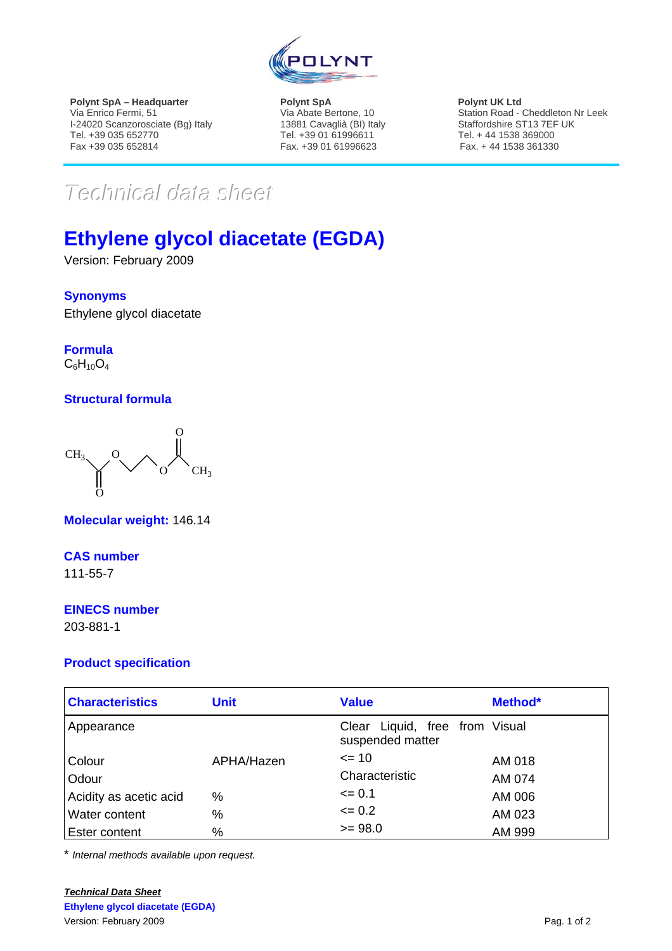

**Polynt SpA – Headquarter**  Via Enrico Fermi, 51 I-24020 Scanzorosciate (Bg) Italy Tel. +39 035 652770 Fax +39 035 652814

**Polynt SpA**  Via Abate Bertone, 10 13881 Cavaglià (BI) Italy Tel. +39 01 61996611 Fax. +39 01 61996623

**Polynt UK Ltd**  Station Road - Cheddleton Nr Leek Staffordshire ST13 7EF UK Tel. + 44 1538 369000 Fax. + 44 1538 361330

# $Techmical$  data sheett

# **Ethylene glycol diacetate (EGDA)**

Version: February 2009

#### **Synonyms**

Ethylene glycol diacetate

**Formula**  $C_6H_{10}O_4$ 

## **Structural formula**



**Molecular weight:** 146.14

#### **CAS number**

111-55-7

#### **EINECS number**

203-881-1

## **Product specification**

| <b>Characteristics</b> | <b>Unit</b> | <b>Value</b>                                          | Method* |
|------------------------|-------------|-------------------------------------------------------|---------|
| Appearance             |             | Liquid, free from Visual<br>Clear<br>suspended matter |         |
| Colour                 | APHA/Hazen  | $= 10$                                                | AM 018  |
| Odour                  |             | Characteristic                                        | AM 074  |
| Acidity as acetic acid | %           | $= 0.1$                                               | AM 006  |
| <b>Water content</b>   | $\%$        | $= 0.2$                                               | AM 023  |
| <b>Ester content</b>   | $\%$        | $>= 98.0$                                             | AM 999  |

\* *Internal methods available upon request.*